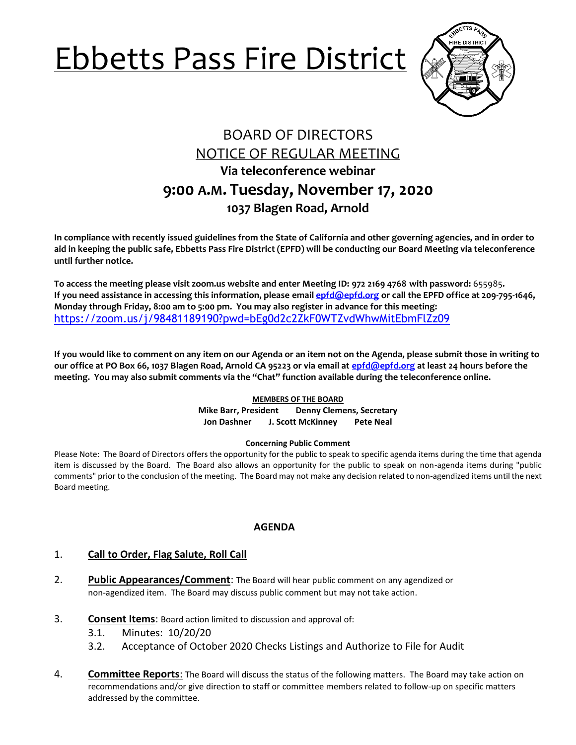# Ebbetts Pass Fire District



# BOARD OF DIRECTORS NOTICE OF REGULAR MEETING **Via teleconference webinar 9:00 A.M. Tuesday, November 17, 2020 1037 Blagen Road, Arnold**

**In compliance with recently issued guidelines from the State of California and other governing agencies, and in order to aid in keeping the public safe, Ebbetts Pass Fire District (EPFD) will be conducting our Board Meeting via teleconference until further notice.** 

**To access the meeting please visit zoom.us website and enter Meeting ID: 972 2169 4768 with password:** 655985**. If you need assistance in accessing this information, please email [epfd@epfd.org](mailto:epfd@epfd.org) or call the EPFD office at 209-795-1646, Monday through Friday, 8:00 am to 5:00 pm. You may also register in advance for this meeting:** <https://zoom.us/j/98481189190?pwd=bEg0d2c2ZkF0WTZvdWhwMitEbmFlZz09>

**If you would like to comment on any item on our Agenda or an item not on the Agenda, please submit those in writing to our office at PO Box 66, 1037 Blagen Road, Arnold CA 95223 or via email at [epfd@epfd.org](mailto:epfd@epfd.org) at least 24 hours before the meeting. You may also submit comments via the "Chat" function available during the teleconference online.**

#### **MEMBERS OF THE BOARD**

**Mike Barr, President Denny Clemens, Secretary Jon Dashner J. Scott McKinney Pete Neal**

#### **Concerning Public Comment**

Please Note:The Board of Directors offers the opportunity for the public to speak to specific agenda items during the time that agenda item is discussed by the Board. The Board also allows an opportunity for the public to speak on non-agenda items during "public comments" prior to the conclusion of the meeting. The Board may not make any decision related to non-agendized items until the next Board meeting.

#### **AGENDA**

#### 1. **Call to Order, Flag Salute, Roll Call**

- 2. **Public Appearances/Comment**: The Board will hear public comment on any agendized or non-agendized item. The Board may discuss public comment but may not take action.
- 3. **Consent Items**: Board action limited to discussion and approval of:
	- 3.1. Minutes: 10/20/20
	- 3.2. Acceptance of October 2020 Checks Listings and Authorize to File for Audit
- 4. **Committee Reports**: The Board will discuss the status of the following matters. The Board may take action on recommendations and/or give direction to staff or committee members related to follow-up on specific matters addressed by the committee.